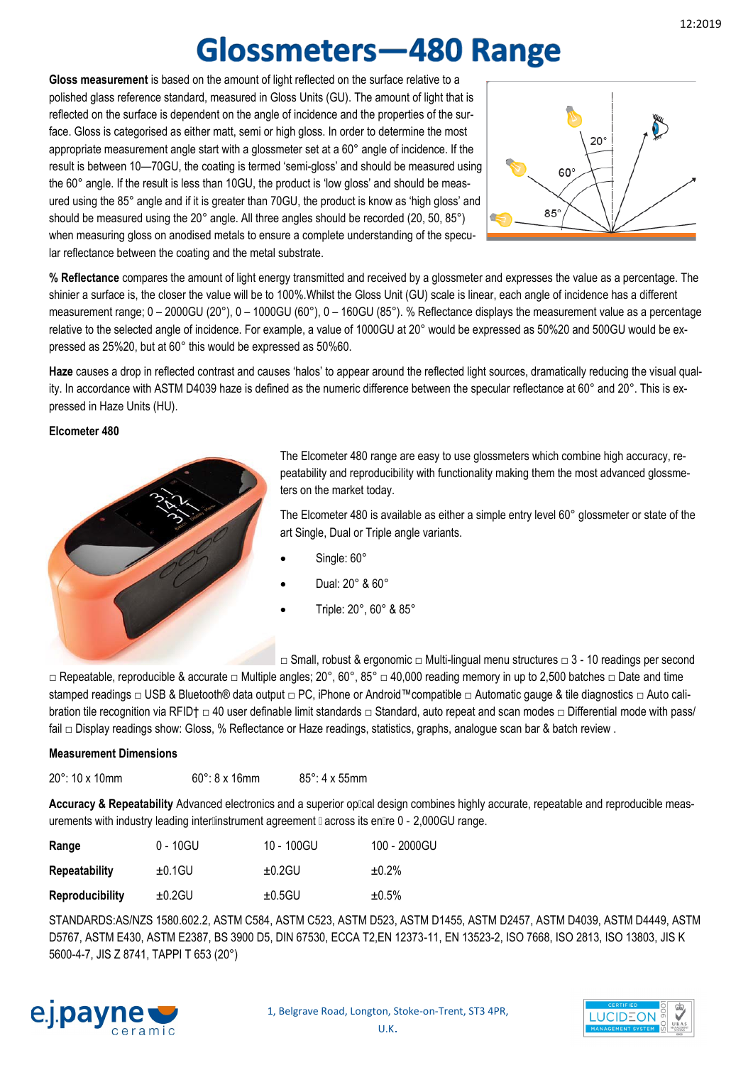# **Glossmeters-480 Range**

**Gloss measurement** is based on the amount of light reflected on the surface relative to a polished glass reference standard, measured in Gloss Units (GU). The amount of light that is reflected on the surface is dependent on the angle of incidence and the properties of the surface. Gloss is categorised as either matt, semi or high gloss. In order to determine the most appropriate measurement angle start with a glossmeter set at a 60° angle of incidence. If the result is between 10—70GU, the coating is termed 'semi-gloss' and should be measured using the 60° angle. If the result is less than 10GU, the product is 'low gloss' and should be measured using the 85° angle and if it is greater than 70GU, the product is know as 'high gloss' and should be measured using the 20° angle. All three angles should be recorded (20, 50, 85°) when measuring gloss on anodised metals to ensure a complete understanding of the specular reflectance between the coating and the metal substrate.



**% Reflectance** compares the amount of light energy transmitted and received by a glossmeter and expresses the value as a percentage. The shinier a surface is, the closer the value will be to 100%.Whilst the Gloss Unit (GU) scale is linear, each angle of incidence has a different measurement range; 0 – 2000GU (20°), 0 – 1000GU (60°), 0 – 160GU (85°). % Reflectance displays the measurement value as a percentage relative to the selected angle of incidence. For example, a value of 1000GU at 20° would be expressed as 50%20 and 500GU would be expressed as 25%20, but at 60° this would be expressed as 50%60.

Haze causes a drop in reflected contrast and causes 'halos' to appear around the reflected light sources, dramatically reducing the visual quality. In accordance with ASTM D4039 haze is defined as the numeric difference between the specular reflectance at 60° and 20°. This is expressed in Haze Units (HU).

### **Elcometer 480**



The Elcometer 480 range are easy to use glossmeters which combine high accuracy, repeatability and reproducibility with functionality making them the most advanced glossmeters on the market today.

The Elcometer 480 is available as either a simple entry level 60° glossmeter or state of the art Single, Dual or Triple angle variants.

- Single: 60°
- Dual: 20° & 60°
- Triple: 20°, 60° & 85°

□ Small, robust & ergonomic □ Multi-lingual menu structures □ 3 - 10 readings per second

□ Repeatable, reproducible & accurate □ Multiple angles; 20°, 60°, 85° □ 40,000 reading memory in up to 2,500 batches □ Date and time stamped readings □ USB & Bluetooth® data output □ PC, iPhone or Android™compatible □ Automatic gauge & tile diagnostics □ Auto calibration tile recognition via RFID† □ 40 user definable limit standards □ Standard, auto repeat and scan modes □ Differential mode with pass/ fail □ Display readings show: Gloss, % Reflectance or Haze readings, statistics, graphs, analogue scan bar & batch review .

#### **Measurement Dimensions**

20°: 10 x 10mm 60°: 8 x 16mm 85°: 4 x 55mm

Accuracy & Repeatability Advanced electronics and a superior oplical design combines highly accurate, repeatable and reproducible measurements with industry leading interlinstrument agreement  $\mathbb I$  across its enlire  $0$  - 2,000GU range.

| Range                  | 0 - 10GU  | 10 - 100GU | 100 - 2000GU |
|------------------------|-----------|------------|--------------|
| <b>Repeatability</b>   | $±0.1$ GU | $±0.2$ GU  | $±0.2\%$     |
| <b>Reproducibility</b> | $±0.2$ GU | ±0.5GU     | $±0.5\%$     |

STANDARDS:AS/NZS 1580.602.2, ASTM C584, ASTM C523, ASTM D523, ASTM D1455, ASTM D2457, ASTM D4039, ASTM D4449, ASTM D5767, ASTM E430, ASTM E2387, BS 3900 D5, DIN 67530, ECCA T2,EN 12373-11, EN 13523-2, ISO 7668, ISO 2813, ISO 13803, JIS K 5600-4-7, JIS Z 8741, TAPPI T 653 (20°)